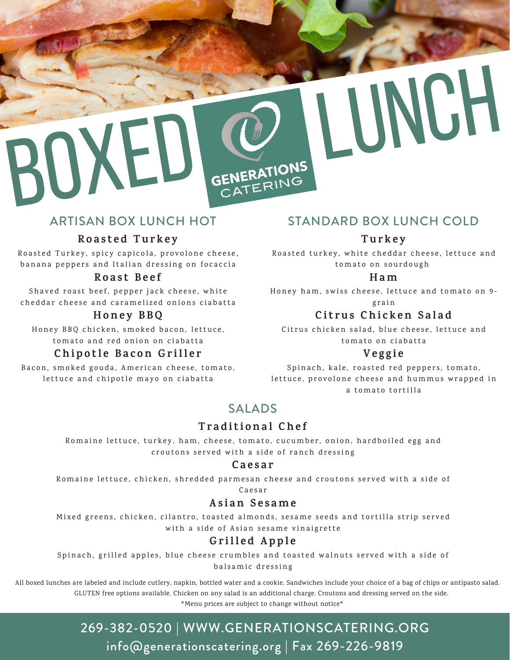

# ARTISAN BOX LUNCH HOT

### **R o a s t e d T u r k e y**

Roasted Turkey, spicy capicola, provolone cheese, banana peppers and Italian dressing on focaccia

### **R o a s t B e e f**

Shaved roast beef, pepper jack cheese, white cheddar cheese and caramelized onions ciabatta

### **H one y B BQ**

Honey BBQ chicken, smoked bacon, lettuce, to mato and red onion on ciabatta

### **Chi p o t l e B a c on Gr i l l e r**

Bacon, smoked gouda, American cheese, tomato, lettuce and chipotle mayo on ciabatta

# STANDARD BOX LUNCH COLD

### **T u r k e y**

Roasted turkey, white cheddar cheese, lettuce and to mato on sourdough

#### **H am**

Honey ham, swiss cheese, lettuce and tomato on 9g r a i n

### **C i t r u s Chi c k en S a l a d**

Citrus chicken salad, blue cheese, lettuce and to mato on ciabatta

### **Ve g g i e**

Spinach, kale, roasted red peppers, tomato, lettuce, provolone cheese and hummus wrapped in a tomato tortilla

# SALADS

## **T r a d i t i ona l Che f**

Romaine lettuce, turkey, ham, cheese, tomato, cucumber, onion, hardboiled egg and croutons served with a side of ranch dressing

#### **C a e s a r**

Romaine lettuce, chicken, shredded parmesan cheese and croutons served with a side of

C a e s a r

### **As i an S e s ame**

Mixed greens, chicken, cilantro, toasted almonds, sesame seeds and tortilla strip served with a side of Asian sesame vinaigrette

# **Gr i l l e d Ap p l e**

Spinach, grilled apples, blue cheese crumbles and toasted walnuts served with a side of balsamic dressing

All boxed lunches are labeled and include cutlery, napkin, bottled water and a cookie. Sandwiches include your choice of a bag of chips or antipasto salad. GLUTEN free options available. Chicken on any salad is an additional charge. Croutons and dressing served on the side.

\*Menu prices are subject to change without notice\*

# 269-382-0520 | WWW.GENERATIONSCATERING.ORG info@generationscatering.org | Fax 269-226-9819